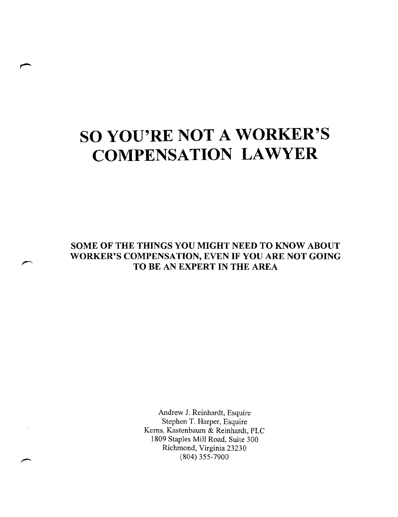# **SO YOU'RE NOT A WORKER'S COMPENSATION LAWYER**

**SOME OF THE THINGS YOU MIGHT NEED TO KNOW ABOUT WORKER'S COMPENSATION, EVEN IF YOU ARE NOT GOING TO BE AN EXPERT IN THE AREA** 

> Andrew J. Reinhardt, Esquire Stephen T. Harper, Esquire Kerns, Kastenbaum & Reinhardt, PLC 1809 Staples Mill Road, Suite 300 Richmond, Virginia 23230 (804) 355-7900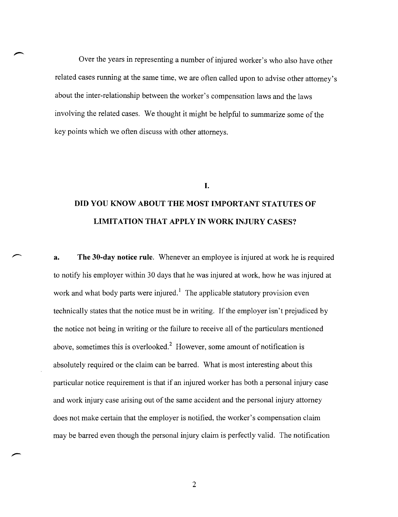Over the years in representing a number of injured worker's who also have other related cases running at the same time, we are often called upon to advise other attorney's about the inter-relationship between the worker's compensation laws and the laws involving the related cases. We thought it might be helpful to summarize some of the key points which we often discuss with other attorneys.

#### I.

### **DID YOU KNOW ABOUT THE MOST IMPORTANT STATUTES OF LIMITATION THAT APPLY IN WORK INJURY CASES?**

**a. The 30-day notice rule.** Whenever an employee is injured at work he is required to notify his employer within 30 days that he was injured at work, how he was injured at work and what body parts were injured.<sup>1</sup> The applicable statutory provision even technically states that the notice must be in writing. If the employer isn't prejudiced by the notice not being in writing or the failure to receive all of the particulars mentioned above, sometimes this is overlooked.<sup>2</sup> However, some amount of notification is absolutely required or the claim can be barred. What is most interesting about this particular notice requirement is that if an injured worker has both a personal injury case and work injury case arising out of the same accident and the personal injury attorney does not make certain that the employer is notified, the worker's compensation claim may be barred even though the personal injury claim is perfectly valid. The notification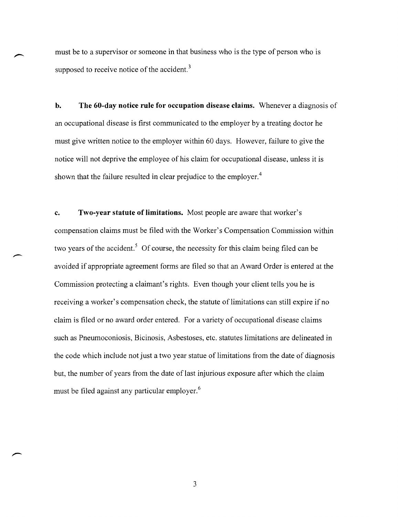must be to a supervisor or someone in that business who is the type of person who is supposed to receive notice of the accident.<sup>3</sup>

**b. The 60-day notice rule for occupation disease claims.** Whenever a diagnosis of an occupational disease is first communicated to the employer by a treating doctor he must give written notice to the employer within 60 days. However, failure to give the notice will not deprive the employee of his claim for occupational disease, unless it is shown that the failure resulted in clear prejudice to the employer.<sup>4</sup>

**c. Two-year statute of limitations.** Most people are aware that worker's compensation claims must be filed with the Worker's Compensation Commission within two years of the accident.<sup>5</sup> Of course, the necessity for this claim being filed can be avoided if appropriate agreement forms are filed so that an Award Order is entered at the Commission protecting a claimant's rights. Even though your client tells you he is receiving a worker's compensation check, the statute of limitations can still expire if no claim is filed or no award order entered. For a variety of occupational disease claims such as Pneumoconiosis, Bicinosis, Asbestoses, etc. statutes limitations are delineated in the code which include not just a two year statue of limitations from the date of diagnosis but, the number of years from the date of last injurious exposure after which the claim must be filed against any particular employer. <sup>6</sup>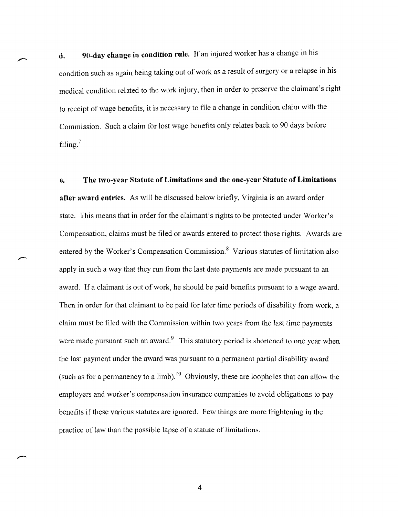**d. 90-day change in condition rule.** If an injured worker has a change in his condition such as again being taking out of work as a result of surgery or a relapse in his medical condition related to the work injury, then in order to preserve the claimant's right to receipt of wage benefits, it is necessary to file a change in condition claim with the Commission. Such a claim for lost wage benefits only relates back to 90 days before filing.?

**e. The two-year Statute of Limitations and the one-year Statute of Limitations after award entries.** As will be discussed below briefly, Virginia is an award order state. This means that in order for the claimant's rights to be protected under Worker's Compensation, claims must be filed or awards entered to protect those rights. Awards are entered by the Worker's Compensation Commission. $\delta$  Various statutes of limitation also apply in such a way that they run from the last date payments are made pursuant to an award. If a claimant is out of work, he should be paid benefits pursuant to a wage award. Then in order for that claimant to be paid for later time periods of disability from work, a claim must be filed with the Commission within two years from the last time payments were made pursuant such an award.<sup>9</sup> This statutory period is shortened to one year when the last payment under the award was pursuant to a permanent partial disability award (such as for a permanency to a limb).<sup>10</sup> Obviously, these are loopholes that can allow the employers and worker's compensation insurance companies to avoid obligations to pay benefits ifthese various statutes are ignored. Few things are more frightening in the practice of law than the possible lapse of a statute of limitations.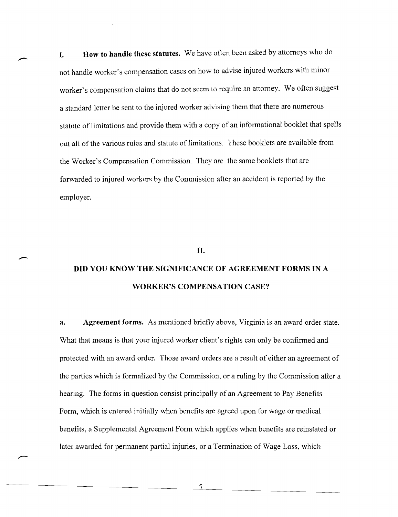**f. How to handle these statutes.** We have often been asked by attorneys who do not handle worker's compensation cases on how to advise injured workers with minor worker's compensation claims that do not seem to require an attorney. We often suggest a standard letter be sent to the injured worker advising them that there are numerous statute of limitations and provide them with a copy of an informational booklet that spells out all of the various rules and statute of limitations. These booklets are available from the Worker's Compensation Commission. They are the same booklets that are forwarded to injured workers by the Commission after an accident is reported by the employer.

#### **II.**

,;-~

### **DID YOU KNOW THE SIGNIFICANCE OF AGREEMENT FORMS IN** A **WORKER'S COMPENSATION CASE?**

**a. Agreement forms.** As mentioned briefly above, Virginia is an award order state. What that means is that your injured worker client's rights can only be confirmed and protected with an award order. Those award orders are a result of either an agreement of the parties which is formalized by the Commission, or a ruling by the Commission after a hearing. The forms in question consist principally of an Agreement to Pay Benefits Form, which is entered initially when benefits are agreed upon for wage or medical benefits, a Supplemental Agreement Form which applies when benefits are reinstated or later awarded for permanent partial injuries, or a Termination of Wage Loss, which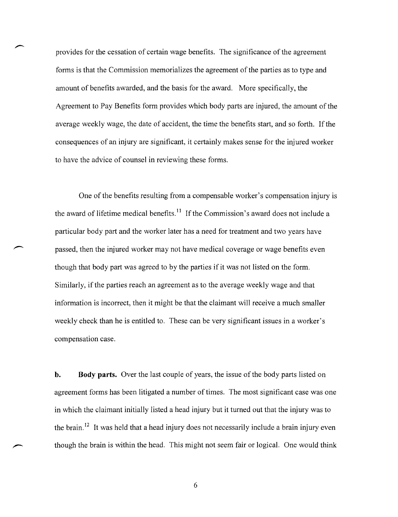provides for the cessation of certain wage benefits. The significance of the agreement forms is that the Commission memorializes the agreement of the parties as to type and amount of benefits awarded, and the basis for the award. More specifically, the Agreement to Pay Benefits form provides which body parts are injured, the amount of the average weekly wage, the date of accident, the time the benefits start, and so forth. If the consequences of an injury are significant, it certainly makes sense for the injured worker to have the advice of counsel in reviewing these forms.

One of the benefits resulting from a compensable worker's compensation injury is the award of lifetime medical benefits.<sup>11</sup> If the Commission's award does not include a particular body part and the worker later has a need for treatment and two years have passed, then the injured worker may not have medical coverage or wage benefits even though that body part was agreed to by the parties if it was not listed on the form. Similarly, if the parties reach an agreement as to the average weekly wage and that information is incorrect, then it might be that the claimant will receive a much smaller weekly check than he is entitled to. These can be very significant issues in a worker's compensation case.

**b.** Body parts. Over the last couple of years, the issue of the body parts listed on agreement forms has been litigated a number of times. The most significant case was one in which the claimant initially listed a head injury but it turned out that the injury was to the brain.<sup>12</sup> It was held that a head injury does not necessarily include a brain injury even though the brain is within the head. This might not seem fair or logical. One would think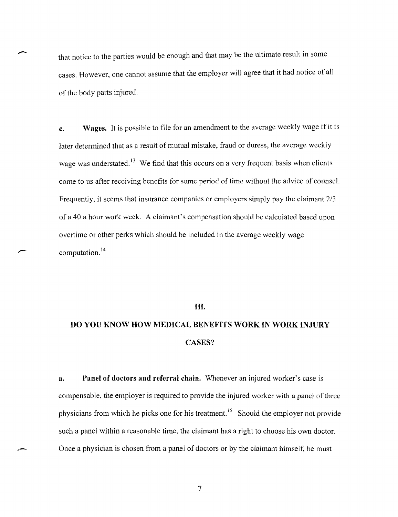that notice to the parties would be enough and that may be the ultimate result in some cases. However, one cannot assume that the employer will agree that it had notice of all of the body parts injured.

**c.** Wages. It is possible to file for an amendment to the average weekly wage if it is later determined that as a result of mutual mistake, fraud or duress, the average weekly wage was understated.<sup>13</sup> We find that this occurs on a very frequent basis when clients come to us after receiving benefits for some period of time without the advice of counsel. Frequently, it seems that insurance companies or employers simply pay the claimant 2/3 of a 40 a hour work week. A claimant's compensation should be calculated based upon overtime or other perks which should be included in the average weekly wage computation.<sup>14</sup>

#### **III.**

--

 $\overline{\phantom{a}}$ 

### **DO YOU KNOW HOW MEDICAL BENEFITS WORK IN WORK INJURY**  CASES?

**a. Panel of doctors and referral chain.** Whenever an injured worker's case is compensable, the employer is required to provide the injured worker with a panel of three physicians from which he picks one for his treatment.<sup>15</sup> Should the employer not provide such a panel within a reasonable time, the claimant has a right to choose his own doctor. Once a physician is chosen from a panel of doctors or by the claimant himself, he must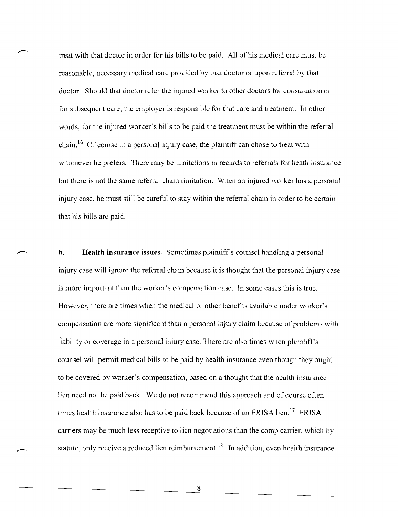treat with that doctor in order for his bills to be paid. All of his medical care must be reasonable, necessary medical care provided by that doctor or upon referral by that doctor. Should that doctor refer the injured worker to other doctors for consultation or for subsequent care, the employer is responsible for that care and treatment. In other words, for the injured worker's bills to be paid the treatment must be within the referral chain. <sup>16</sup> Of course in a personal injury case, the plaintiff can chose to treat with whomever he prefers. There may be limitations in regards to referrals for heath insurance but there is not the same referral chain limitation. When an injured worker has a personal injury case, he must still be careful to stay within the referral chain in order to be certain that his bills are paid.

**h.** Health insurance issues. Sometimes plaintiff's counsel handling a personal injury case will ignore the referral chain because it is thought that the personal injury case is more important than the worker's compensation case. In some cases this is true. However, there are times when the medical or other benefits available under worker's compensation are more significant than a personal injury claim because of problems with liability or coverage in a personal injury case. There are also times when plaintiff's counsel will permit medical bills to be paid by health insurance even though they ought to be covered by worker's compensation, based on a thought that the health insurance lien need not be paid back. We do not recommend this approach and of course often times health insurance also has to be paid back because of an ERISA lien.<sup>17</sup> ERISA carriers may be much less receptive to lien negotiations than the comp carrier, which by statute, only receive a reduced lien reimbursement.<sup>18</sup> In addition, even health insurance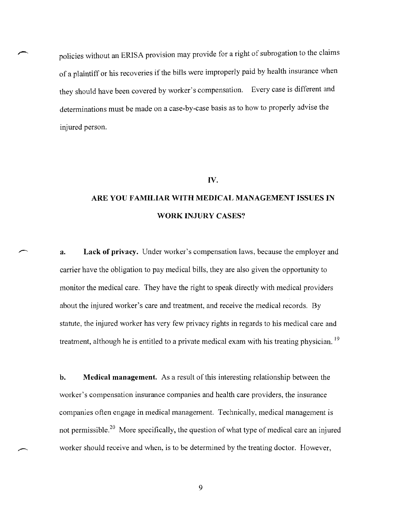policies without an ERISA provision may provide for a right of subrogation to the claims of a plaintiff or his recoveries if the bills were improperly paid by health insurance when they should have been covered by worker's compensation. Every case is different and determinations must be made on a case-by-case basis as to how to properly advise the injured person.

#### **IV.**

### **ARE YOU FAMILIAR WITH MEDICAL MANAGEMENT ISSUES IN WORK INJURY CASES?**

**a. Lack of privacy.** Under worker's compensation laws, because the employer and carrier have the obligation to pay medical bills, they are also given the opportunity to monitor the medical care. They have the right to speak directly with medical providers about the injured worker's care and treatment, and receive the medical records. By statute, the injured worker has very few privacy rights in regards to his medical care and treatment, although he is entitled to a private medical exam with his treating physician.<sup>19</sup>

**b. Medical management.** As a result of this interesting relationship between the worker's compensation insurance companies and health care providers, the insurance companies often engage in medical management. Technically, medical management is not permissible.<sup>20</sup> More specifically, the question of what type of medical care an injured worker should receive and when, is to be determined by the treating doctor. However,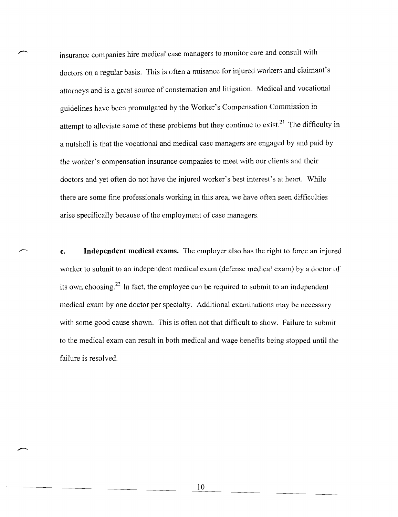insurance companies hire medical case managers to monitor care and consult with doctors on a regular basis. This is often a nuisance for injured workers and claimant's attorneys and is a great source of consternation and litigation. Medical and vocational guidelines have been promulgated by the Worker's Compensation Commission in attempt to alleviate some of these problems but they continue to exist.<sup>21</sup> The difficulty in a nutshell is that the vocational and medical case managers are engaged by and paid by the worker's compensation insurance companies to meet with our clients and their doctors and yet often do not have the injured worker's best interest's at heart. While there are some fine professionals working in this area, we have often seen difficulties arise specifically because of the employment of case managers.

**c. Independent medical exams.** The employer also has the right to force an injured worker to submit to an independent medical exam (defense medical exam) by a doctor of its own choosing.<sup>22</sup> In fact, the employee can be required to submit to an independent medical exam by one doctor per specialty. Additional examinations may be necessary with some good cause shown. This is often not that difficult to show. Failure to submit to the medical exam can result in both medical and wage benefits being stopped until the failure is resolved.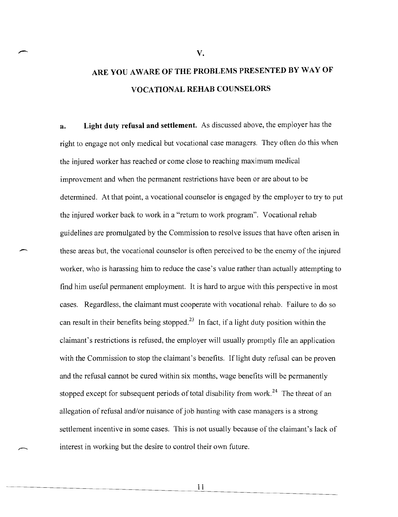### **ARE YOU AWARE OF THE PROBLEMS PRESENTED BY WAY OF VOCATIONAL REHAB COUNSELORS**

**V.** 

**a. Light duty refusal and settlement.** As discussed above, the employer has the right to engage not only medical but vocational case managers. They often do this when the injured worker has reached or come close to reaching maximum medical improvement and when the permanent restrictions have been or are about to be determined. At that point, a vocational counselor is engaged by the employer to try to put the injured worker back to work in a "return to work program". Vocational rehab guidelines are promulgated by the Commission to resolve issues that have often arisen in these areas but, the vocational counselor is often perceived to be the enemy of the injured worker, who is harassing him to reduce the case's value rather than actually attempting to find him useful permanent employment. It is hard to argue with this perspective in most cases. Regardless, the claimant must cooperate with vocational rehab. failure to do so can result in their benefits being stopped.<sup>23</sup> In fact, if a light duty position within the claimant's restrictions is refused, the employer will usually promptly file an application with the Commission to stop the claimant's benefits. If light duty refusal can be proven and the refusal cannot be cured within six months, wage benefits will be permanently stopped except for subsequent periods of total disability from work.<sup>24</sup> The threat of an allegation of refusal and/or nuisance of job hunting with case managers is a strong settlement incentive in some cases. This is not usually because of the claimant's lack of interest in working but the desire to control their own future.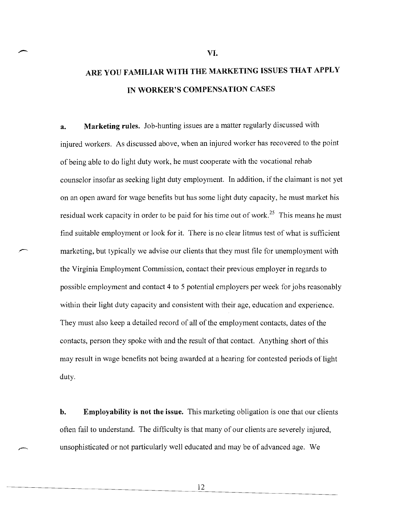### **ARE YOU FAMILIAR WITH THE MARKETING ISSUES THAT APPLY IN WORKER'S COMPENSATION CASES**

**a. Marketing rules.** Job-hunting issues are a matter regularly discussed with injured workers. As discussed above, when an injured worker has recovered to the point of being able to do light duty work, he must cooperate with the vocational rehab counselor insofar as seeking light duty employment. In addition, if the claimant is not yet on an open award for wage benefits but has some light duty capacity, he must market his residual work capacity in order to be paid for his time out of work.<sup>25</sup> This means he must tind suitable employment or look for it. There is no clear litmus test of what is sufficient marketing, but typically we advise our clients that they must file for unemployment with the Virginia Employment Commission, contact their previous employer in regards to possible employment and contact 4 to 5 potential employers per week for jobs reasonably within their light duty capacity and consistent with their age, education and experience. They must also keep a detailed record of all of the employment contacts, dates of the contacts, person they spoke with and the result of that contact. Anything short of this may result in wage benefits not being awarded at a hearing for contested periods of light duty.

**b.** Employability is not the issue. This marketing obligation is one that our clients often fail to understand. The difficulty is that many of our clients are severely injured, unsophisticated or not particularly well educated and may be of advanced age. We

**VI.**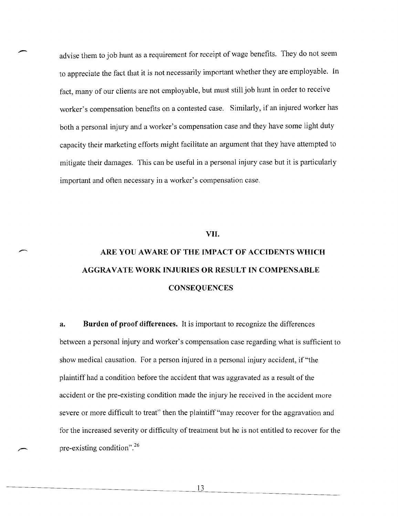advise them to job hunt as a requirement for receipt of wage benefits. They do not seem to appreciate the fact that it is not necessarily important whether they are employable. In fact, many of our clients are not employable, but must still job hunt in order to receive worker's compensation benefits on a contested case. Similarly, if an injured worker has both a personal injury and a worker's compensation case and they have some light duty capacity their marketing efforts might facilitate an argument that they have attempted to mitigate their damages. This can be useful in a personal injury case but it is particularly important and often necessary in a worker's compensation case.

-

#### VII.

## ARE YOU AWARE OF THE IMPACT OF ACCIDENTS WHICH AGGRAVATE WORK INJURIES OR RESULT IN COMPENSABLE **CONSEQUENCES**

a. Burden of proof differences. It is important to recognize the differences between a personal injury and worker's compensation case regarding what is sufficient to show medical causation. For a person injured in a personal injury accident, if "the plaintiff had a condition before the accident that was aggravated as a result of the accident or the pre-existing condition made the injury he received in the accident more severe or more difficult to treat" then the plaintiff "may recover for the aggravation and for the increased severity or difficulty of treatment but he is not entitled to recover for the pre-existing condition". <sup>26</sup>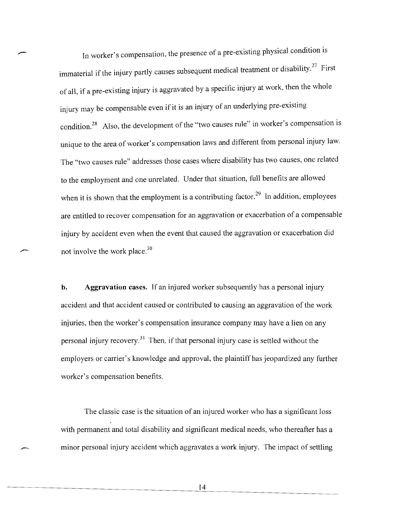In worker's compensation, the presence of a pre-existing physical condition is immaterial if the injury partly causes subsequent medical treatment or disability.<sup>27</sup> First of all, if a pre-existing injury is aggravated by a specific injury at work, then the whole injury may be compensable even if it is an injury of an underlying pre-existing condition.<sup>28</sup> Also, the development of the "two causes rule" in worker's compensation is unique to the area of worker's compensation laws and different from personal injury law. The "two causes rule" addresses those cases where disability has two causes, one related to the employment and one unrelated. Under that situation, full benefits are allowed when it is shown that the employment is a contributing factor.<sup>29</sup> In addition, employees are entitled to recover compensation for an aggravation or exacerbation of a compensable injury by accident even when the event that caused the aggravation or exacerbation did not involve the work place.3D

**b.** Aggravation cases. If an injured worker subsequently has a personal injury accident and that accident caused or contributed to causing an aggravation of the work injuries, then the worker's compensation insurance company may have a lien on any personal injury recovery.<sup>31</sup> Then, if that personal injury case is settled without the employers or carrier's knowledge and approval, the plaintiff has jeopardized any further worker's compensation benefits.

The classic case is the situation of an injured worker who has a significant loss with permanent and total disability and significant medical needs, who thereafter has a minor personal injury accident which aggravates a work injury. The impact of settling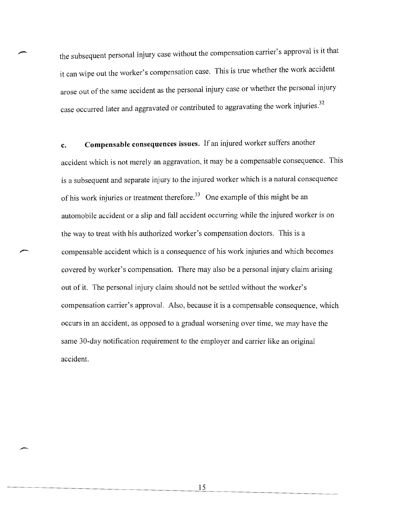the subsequent personal injury case without the compensation carrier's approval is it that it can wipe out the worker's compensation case. This is true whether the work accident arose out of the same accident as the personal injury case or whether the personal injury case occurred later and aggravated or contributed to aggravating the work injuries.<sup>32</sup>

**c. Compensable consequences issues.** If an injured worker suffers another accident which is not merely an aggravation, it may be a compensable consequence. This is a subsequent and separate injury to the injured worker which is a natural consequence of his work injuries or treatment therefore.<sup>33</sup> One example of this might be an automobile accident or a slip and fall accident occurring while the injured worker is on the way to treat with his authorized worker's compensation doctors. This is a compensable accident which is a consequence of his work injuries and which becomes covered by worker's compensation. There may also be a personal injury claim arising out of it. The personal injury claim should not be settled without the worker's compensation carrier's approval. Also, because it is a compensable consequence, which occurs in an accident, as opposed to a gradual worsening over time, we may have the same 30-day notification requirement to the employer and carrier like an original accident.

> 15  $\overline{\phantom{0}}$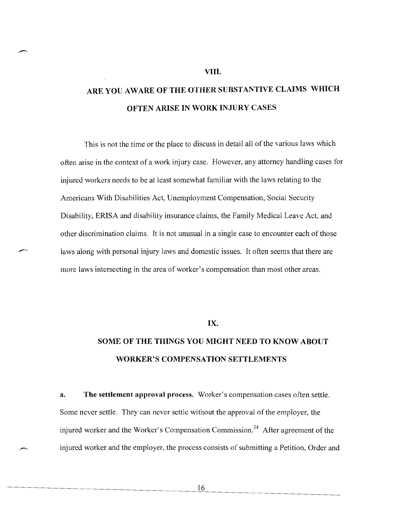## ARE YOU AWARE OF THE OTHER SUBSTANTIVE CLAIMS WHICH **OFTEN ARISE IN WORK INJURY CASES**

**VIII.** 

This is not the time or the place to discuss in detail all of the various laws which often arise in the context of a work injury case. However, any attorney handling cases for injured workers needs to be at least somewhat familiar with the laws relating to the Americans With Disabilities Act, Unemployment Compensation, Social Security Disability, ERISA and disability insurance claims, the Family Medical Leave Act, and other discrimination claims. It is not unusual in a single case to encounter each of those laws along with personal injury laws and domestic issues. It often seems that there are more laws intersecting in the area of worker's compensation than most other areas.

#### **IX.**

### **SOME OF THE THINGS YOU MIGHT NEED TO KNOW ABOUT WORKER'S COMPENSATION SETTLEMENTS**

**a. The settlement approval process.** Worker's compensation cases often settle. Some never settle. They can never settle without the approval of the employer, the injured worker and the Worker's Compensation Commission.<sup>34</sup> After agreement of the injured worker and the employer, the process consists of submitting a Petition, Order and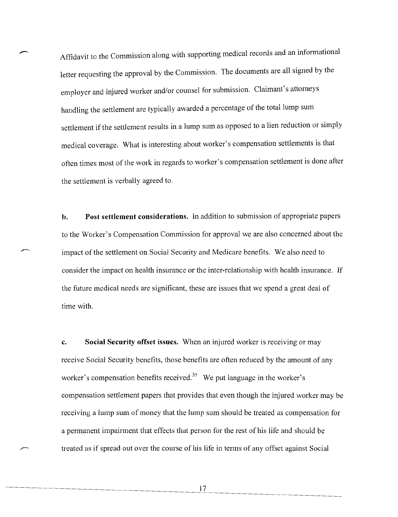Affidavit to the Commission along with supporting medical records and an informational letter requesting the approval by the Commission. The documents are all signed by the employer and injured worker and/or counsel for submission. Claimant's attorneys handling the settlement are typically awarded a percentage of the total lump sum settlement if the settlement results in a lump sum as opposed to a lien reduction or simply medical coverage. What is interesting about worker's compensation settlements is that often times most of the work in regards to worker's compensation settlement is done after the settlement is verbally agreed to.

 $\overline{\phantom{a}}$ 

**b. Post settlement considerations.** In addition to submission of appropriate papers to the Worker's Compensation Commission for approval we are also concerned about the impact of the settlement on Social Security and Medicare benefits. We also need to consider the impact on health insurance or the inter-relationship with health insurance. If the future medical needs are significant, these are issues that we spend a great deal of time with.

**c. Social Security offset issues.** When an injured worker is receiving or may receive Social Security benefits, those benefits are often reduced by the amount of any worker's compensation benefits received.<sup>35</sup> We put language in the worker's compensation settlement papers that provides that even though the injured worker may be receiving a lump sum of money that the lump sum should be treated as compensation for a permanent impairment that effects that person for the rest of his life and should be treated as if spread out over the course of his life in terms of any offset against Social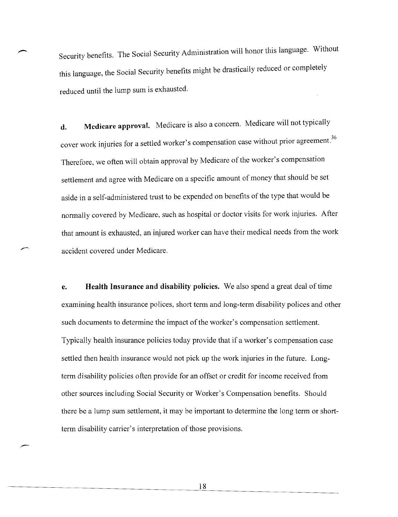Security benefits. The Social Security Administration will honor this language. Without this language, the Social Security benefits might be drastically reduced or completely reduced until the lump sum is exhausted.

**d. Medicare approvaL** Medicare is also a concern. Medicare will not typically d. Medicare approval. Medicare is also a concern. Medicare will not typically cover work injuries for a settled worker's compensation case without prior agreement.<sup>36</sup> Therefore, we often will obtain approval by Medicare of the worker's compensation settlement and agree with Medicare on a specific amount of money that should be set aside in a self-administered trust to be expended on benefits of the type that would be normally covered by Medicare, such as hospital or doctor visits for work injuries. After that amount is exhausted, an injured worker can have their medical needs from the work accident covered under Medicare.

**e. Health Insurance and disability policies.** We also spend a great deal of time examining health insurance polices, short term and long-term disability polices and other such documents to determine the impact of the worker's compensation settlement. Typically health insurance policies today provide that if a worker's compensation case settled then health insurance would not pick up the work injuries in the future. Longterm disability policies often provide for an offset or credit for income received from other sources including Social Security or Worker's Compensation benefits. Should there be a lump sum settlement, it may be important to determine the long term or shortterm disability carrier's interpretation of those provisions.

> 18

.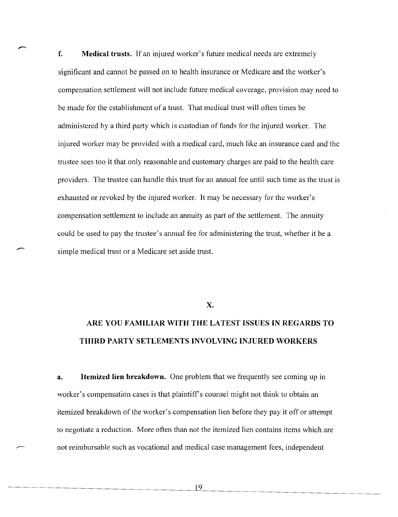**f. Medical trusts.** If an injured worker's future medical needs are extremely significant and cannot be passed on to health insurance or Medicare and the worker's compensation settlement will not include future medical coverage, provision may need to be made for the establishment of a trust. That medical trust will often times be administered by a third party which is custodian of funds for the injured worker. The injured worker may be provided with a medical card, much like an insurance card and the trustee sees too it that only reasonable and customary charges are paid to the health care providers. The trustee can handle this trust for an annual fee until such time as the trust is exhausted or revoked by the injured worker. It may be necessary for the worker's compensation settlement to include an annuity as part of the settlement. The annuity could be used to pay the trustee's annual fee for administering the trust, whether it be a simple medical trust or a Medicare set aside trust.

**x.** 

### **ARE YOU FAMILIAR WITH THE LATEST ISSUES IN REGARDS TO THIRD PARTY SETLEMENTS INVOLVING INJURED WORKERS**

**a. Itemized lien breakdown.** One problem that we frequently see coming up in worker's compensation cases is that plaintiff's counsel might not think to obtain an itemized breakdown of the worker's compensation lien before they pay it off or attempt to negotiate a reduction. More often than not the itemized lien contains items which are not reimbursable such as vocational and medical case management fees, independent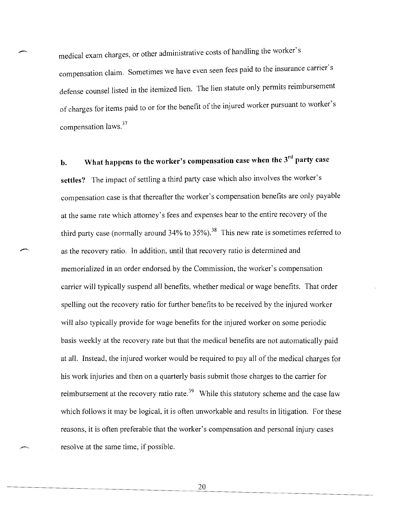medical exam charges, or other administrative costs of handling the worker's compensation claim. Sometimes we have even seen fees paid to the insurance carrier's defense counsel listed in the itemized lien. The lien statute only permits reimbursement of charges for items paid to or for the benefit of the injured worker pursuant to worker's compensation laws.<sup>37</sup>

**b.** What happens to the worker's compensation case when the 3<sup>rd</sup> party case settles? The impact of settling a third party case which also involves the worker's compensation case is that thereafter the worker's compensation benefits are only payable at the same rate which attorney's fees and expenses bear to the entire recovery of the third party case (normally around  $34\%$  to  $35\%$ ).<sup>38</sup> This new rate is sometimes referred to as the recovery ratio. Tn addition, until that recovery ratio is determined and memorialized in an order endorsed by the Commission, the worker's compensation carrier will typically suspend all benefits, whether medical or wage benefits. That order spelling out the recovery ratio for further benefits to be received by the injured worker will also typically provide for wage benefits for the injured worker on some periodic basis weekly at the recovery rate but that the medical benefits are not automatically paid at all. Instead, the injured worker would be required to pay all of the medical charges for his work injuries and then on a quarterly basis submit those charges to the carrier for reimbursement at the recovery ratio rate.<sup>39</sup> While this statutory scheme and the case law which follows it may be logical, it is often unworkable and results in litigation. For these reasons, it is often preferable that the worker's compensation and personal injury cases resolve at the same time, if possible.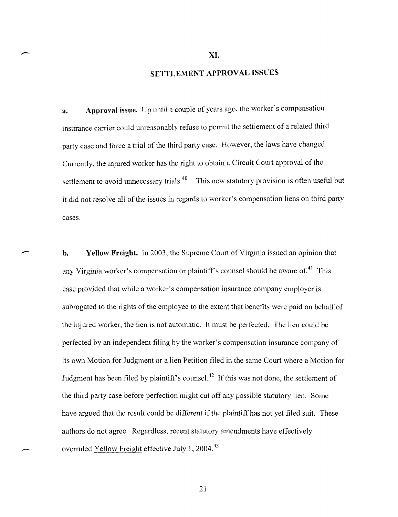$\sim$  XI.

#### SETTLEMENT APPROVAL ISSUES

a. Approval issue. Up until a couple of years ago, the worker's compensation insurance carrier could unreasonably refuse to permit the settlement of a related third party case and force a trial of the third party case. However, the laws have changed. Currently, the injured worker has the right to obtain a Circuit Court approval of the settlement to avoid unnecessary trials.<sup>40</sup> This new statutory provision is often useful but it did not resolve all of the issues in regards to worker's compensation liens on third party cases.

**b.** Yellow Freight. In 2003, the Supreme Court of Virginia issued an opinion that any Virginia worker's compensation or plaintiff's counsel should be aware of.<sup>41</sup> This case provided that while a worker's compensation insurance company employer is subrogated to the rights of the employee to the extent that benefits were paid on behalf of the injured worker, the lien is not automatic. It must be perfected. The lien could be perfected by an independent filing by the worker's compensation insurance company of its own Motion for Judgment or a lien Petition filed in the same Court where a Motion for Judgment has been filed by plaintiff's counsel.<sup>42</sup> If this was not done, the settlement of the third party case before perfection might cut off any possible statutory lien. Some have argued that the result could be different if the plaintiff has not yet filed suit. These authors do not agree. Regardless, recent statutory amendments have effectively overruled Yellow Freight effective July 1, 2004.<sup>43</sup>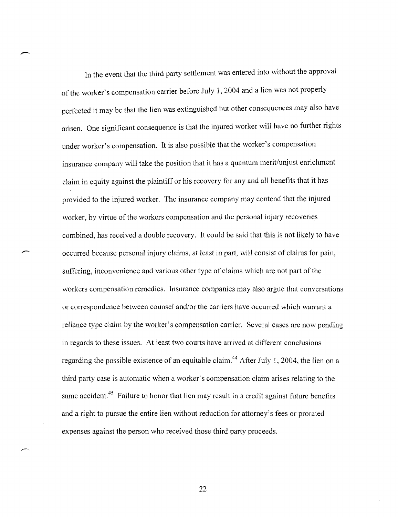In the event that the third party settlement was entered into without the approval of the worker's compensation carrier before July 1,2004 and a lien was not properly perfected it may be that the lien was extinguished but other consequences may also have arisen. One significant consequence is that the injured worker will have no further rights under worker's compensation. It is also possible that the worker's compensation insurance company will take the position that it has a quantum merit/unjust enrichment claim in equity against the plaintiff or his recovery for any and all benefits that it has provided to the injured worker. The insurance company may contend that the injured worker, by virtue of the workers compensation and the personal injury recoveries combined, has received a double recovery. It could be said that this is not likely to have occurred because personal injury claims, at least in part, will consist of claims for pain, suffering, inconvenience and various other type of claims which are not part of the workers compensation remedies. Insurance companies may also argue that conversations or correspondence between counsel and/or the carriers have occurred which warrant a reliance type claim by the worker's compensation carrier. Several cases are now pending in regards to these issues. At least two courts have arrived at different conclusions regarding the possible existence of an equitable claim.<sup>44</sup> After July 1, 2004, the lien on a third party case is automatic when a worker's compensation claim arises relating to the same accident.<sup>45</sup> Failure to honor that lien may result in a credit against future benefits and a right to pursue the entire lien without reduction for attorney's fees or prorated expenses against the person who received those third party proceeds.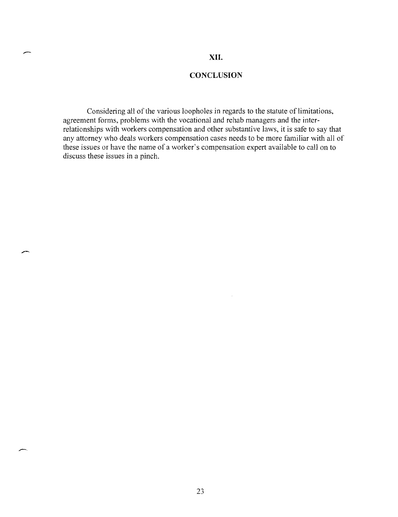#### **XII.**

#### **CONCLUSION**

 $\bar{z}$ 

Considering all of the various loopholes in regards to the statute of limitations, agreement forms, problems with the vocational and rehab managers and the interrelationships with workers compensation and other substantive laws, it is safe to say that any attorney who deals workers compensation cases needs to be more familiar with all of these issues or have the name of a worker's compensation expert available to call on to discuss these issues in a pinch.

23

 $\mathbf{r}$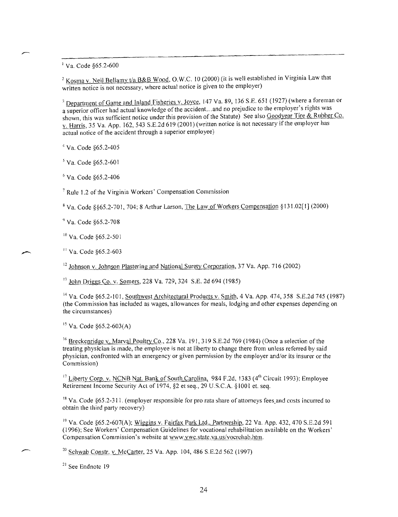$^{1}$  Va. Code §65.2-600

<sup>2</sup> Kosma v. Neil Bellamy *t/a B&B Wood*, O.W.C. 10 (2000) (it is well established in Virginia Law that written notice is not necessary, where actual notice is given to the employer)

<sup>3</sup> Department of Game and Inland Fisheries v. Joyce, 147 Va. 89, 136 S.E. 651 (1927) (where a foreman or a superior officer had actual knowledge of the accident... and no prejudice to the employer's rights was shown, this was sufficient notice under this provision of the Statute) See also Goodyear Tire & Rubber Co. v. Harris, 35 Va. App. 162,543 S.E.2d 619 (2001) (written notice is not necessary if the employer has actual notice of the accident through a superior employee)

<sup>4</sup>Va. Code §65.2-405

5 Va. Code §65.2-601

6 Va. Code §65.2-406

7 Rule 1.2 of the Virginia Workers' Compensation Commission

<sup>8</sup> Va. Code §§65.2-70 I, 704; 8 Arthur Larson, The Law of Workers Compensation § I3 I.02[ I] (2000)

<) Va. Code §65.2-708

<sup>10</sup> Va. Code §65.2-501

II Va. Code §65.2-603

 $12$  Johnson v. Johnson Plastering and National Surety Corporation, 37 Va. App. 716 (2002)

<sup>13</sup> John Driggs Co. v. Somers, 228 Va. 729, 324 S.E. 2d 694 (1985)

<sup>14</sup> Va. Code §65.2-101, Southwest Architectural Products v. Smith, 4 Va. App. 474, 358 S.E.2d 745 (1987) (the Commission has included as wages, allowances for meals, lodging and other expenses depending on the circumstances)

 $15$  Va. Code  $$65.2-603(A)$ 

<sup>16</sup> Breckenridge v. Marval Poultry Co., 228 Va. 191, 319 S.E.2d 769 (1984) (Once a selection of the treating physician is made, the employee is not at liberty to change there from unless referred by said physician, confronted with an emergency or given permission by the employer and/or its insurer or the Commission)

 $17$  Liberty Corp. v. NCNB Nat. Bank of South Carolina, 984 F.2d, 1383 (4<sup>th</sup> Circuit 1993); Employee Retirement Income Security Act of 1974, §2 et seq., 29 U.S.C.A. § 1001 et. seq.

<sup>18</sup> Va. Code §65.2-311. (employer responsible for pro rata share of attorneys fees and costs incurred to obtain the third party recovery)

 $19$  Va. Code §65.2-607(A); Wiggins v. Fairfax Park Ltd., Partnership, 22 Va. App. 432, 470 S.E.2d 591 (1996); See Workers' Compensation Guidelines for vocational rehabilitation available on the Workers' Compensation Commission's website at www.vwc.state.va.us/vocrehab.htm.

<sup>20</sup> Schwab Constr. v. McCarter, 25 Va. App. 104, 486 S.E.2d 562 (1997)

 $21$  See Endnote 19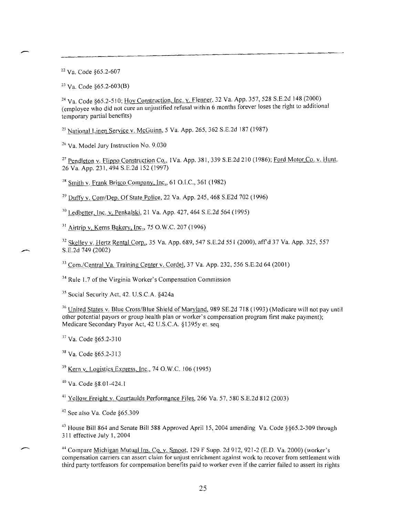22 Va. Code §65.2-607

--

 $23 \text{ Va}$ . Code  $65.2 - 603 \text{(B)}$ 

<sup>24</sup> Va. Code §65.2-510; Hoy Construction, Inc. v. Flenner, 32 Va. App. 357, 528 S.E.2d 148 (2000) (employee who did not cure an unjustified refusal within 6 months forever loses the right to additional temporary partial benefits)

<sup>25</sup> National Linen Service v. McGuinn, 5 Va. App. 265, 362 S.E.2d 187 (1987)

<sup>26</sup> Va. Model Jury Instruction No. 9.030

<sup>27</sup> Pendleton v. Flippo Construction Co., 1Va. App. 381, 339 S.E.2d 210 (1986); Ford Motor Co. v. Hunt. 26 Va. App. 23], 494 S.E.2d 152 (1997)

 $28$  Smith v. Frank Brisco Company, Inc., 61 O.I.C., 361 (1982)

<sup>29</sup> Duffy v. Com/Dep. Of State Police, 22 Va. App. 245, 468 S.E2d 702 (1996)

30 Ledbetter, Inc. v. Penkalski, 21 Va. App. 427, 464 S.E.2d 564 (1995)

31 Airtrip v. Kerns Bakery, Inc., 75 O.W.C. 207 (1996)

<sup>32</sup> Skelley v. Hertz Rental Corp., 35 Va. App. 689, 547 S.E.2d 551 (2000), aff'd 37 Va. App. 325, 557 S.E.2d 749 (2002)

33 Com./Central Va. Training Center v. Cordel, 37 Va. App. 232, 556 S.E.2d 64 (200])

34 Rule 1.7 of the Virginia Worker's Compensation Commission

<sup>35</sup> Social Security Act, 42. U.S.C.A. §424a

<sup>36</sup> United States v. Blue Cross/Blue Shield of Maryland, 989 SE.2d 718 (1993) (Medicare will not pay until other potential payors or group health plan or worker's compensation program first make payment); Medicare Secondary Payor Act, 42 U.S.C.A. §1395y et. seq.

<sup>37</sup> Va. Code §65.2-310

<sup>38</sup> Va. Code §65.2-313

 $39$  Kern v. Logistics Express, Inc., 74 O.W.C. 106 (1995)

40 Va. Code §8.0 1-424.1

41 Yellow Freight v. Courtaulds Performance Files, 266 Va. 57, 580 S.E.2d 812 (2003)

42 See also Va. Code §65.309

<sup>43</sup> House Bill 864 and Senate Bill 588 Approved April 15, 2004 amending Va. Code §§65.2-309 through 311 effective July 1,2004

44 Compare Michigan Mutual Ins. Co. v. Smoot, 129 F Supp. 2d 912, 921-2 (E.O. Va. 2000) (worker's compensation carriers can assert claim for unjust enrichment against work to recover from settlement with third party tortfeasors for compensation benefits paid to worker even if the carrier failed to assert its rights